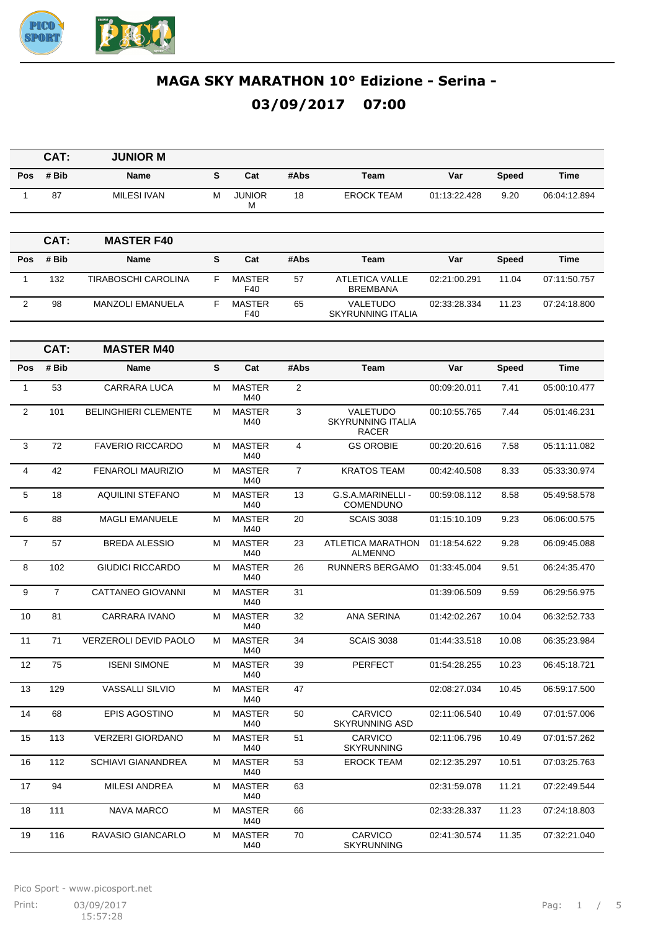

|                | CAT:           | <b>JUNIOR M</b>              |   |                      |                |                                                      |              |              |              |
|----------------|----------------|------------------------------|---|----------------------|----------------|------------------------------------------------------|--------------|--------------|--------------|
| Pos            | # Bib          | Name                         | S | Cat                  | #Abs           | Team                                                 | Var          | <b>Speed</b> | Time         |
| $\mathbf{1}$   | 87             | <b>MILESI IVAN</b>           | М | <b>JUNIOR</b><br>М   | 18             | <b>EROCK TEAM</b>                                    | 01:13:22.428 | 9.20         | 06:04:12.894 |
|                |                |                              |   |                      |                |                                                      |              |              |              |
|                | CAT:           | <b>MASTER F40</b>            |   |                      |                |                                                      |              |              |              |
| Pos            | # Bib          | Name                         | S | Cat                  | #Abs           | Team                                                 | Var          | <b>Speed</b> | <b>Time</b>  |
| $\mathbf{1}$   | 132            | TIRABOSCHI CAROLINA          | F | <b>MASTER</b><br>F40 | 57             | <b>ATLETICA VALLE</b><br><b>BREMBANA</b>             | 02:21:00.291 | 11.04        | 07:11:50.757 |
| $\overline{2}$ | 98             | <b>MANZOLI EMANUELA</b>      | F | <b>MASTER</b><br>F40 | 65             | VALETUDO<br><b>SKYRUNNING ITALIA</b>                 | 02:33:28.334 | 11.23        | 07:24:18.800 |
|                | CAT:           | <b>MASTER M40</b>            |   |                      |                |                                                      |              |              |              |
| Pos            | # Bib          | Name                         | S | Cat                  | #Abs           | Team                                                 | Var          | <b>Speed</b> | <b>Time</b>  |
| $\mathbf{1}$   | 53             | <b>CARRARA LUCA</b>          | м | <b>MASTER</b><br>M40 | 2              |                                                      | 00:09:20.011 | 7.41         | 05:00:10.477 |
| 2              | 101            | <b>BELINGHIERI CLEMENTE</b>  | М | <b>MASTER</b><br>M40 | 3              | VALETUDO<br><b>SKYRUNNING ITALIA</b><br><b>RACER</b> | 00:10:55.765 | 7.44         | 05:01:46.231 |
| 3              | 72             | <b>FAVERIO RICCARDO</b>      | M | <b>MASTER</b><br>M40 | $\overline{4}$ | <b>GS OROBIE</b>                                     | 00:20:20.616 | 7.58         | 05:11:11.082 |
| $\overline{4}$ | 42             | FENAROLI MAURIZIO            | М | <b>MASTER</b><br>M40 | $\overline{7}$ | <b>KRATOS TEAM</b>                                   | 00:42:40.508 | 8.33         | 05:33:30.974 |
| 5              | 18             | <b>AQUILINI STEFANO</b>      | м | <b>MASTER</b><br>M40 | 13             | G.S.A.MARINELLI -<br><b>COMENDUNO</b>                | 00:59:08.112 | 8.58         | 05:49:58.578 |
| 6              | 88             | <b>MAGLI EMANUELE</b>        | M | <b>MASTER</b><br>M40 | 20             | <b>SCAIS 3038</b>                                    | 01:15:10.109 | 9.23         | 06:06:00.575 |
| $\overline{7}$ | 57             | <b>BREDA ALESSIO</b>         | М | <b>MASTER</b><br>M40 | 23             | <b>ATLETICA MARATHON</b><br><b>ALMENNO</b>           | 01:18:54.622 | 9.28         | 06:09:45.088 |
| 8              | 102            | <b>GIUDICI RICCARDO</b>      | М | <b>MASTER</b><br>M40 | 26             | <b>RUNNERS BERGAMO</b>                               | 01:33:45.004 | 9.51         | 06:24:35.470 |
| 9              | $\overline{7}$ | CATTANEO GIOVANNI            | М | <b>MASTER</b><br>M40 | 31             |                                                      | 01:39:06.509 | 9.59         | 06:29:56.975 |
| 10             | 81             | <b>CARRARA IVANO</b>         | М | <b>MASTER</b><br>M40 | 32             | <b>ANA SERINA</b>                                    | 01:42:02.267 | 10.04        | 06:32:52.733 |
| 11             | 71             | <b>VERZEROLI DEVID PAOLO</b> | М | <b>MASTER</b><br>M40 | 34             | <b>SCAIS 3038</b>                                    | 01:44:33.518 | 10.08        | 06:35:23.984 |
| 12             | 75             | <b>ISENI SIMONE</b>          | М | <b>MASTER</b><br>M40 | 39             | PERFECT                                              | 01:54:28.255 | 10.23        | 06:45:18.721 |
| 13             | 129            | VASSALLI SILVIO              | М | <b>MASTER</b><br>M40 | 47             |                                                      | 02:08:27.034 | 10.45        | 06:59:17.500 |
| 14             | 68             | EPIS AGOSTINO                | м | <b>MASTER</b><br>M40 | 50             | <b>CARVICO</b><br><b>SKYRUNNING ASD</b>              | 02:11:06.540 | 10.49        | 07:01:57.006 |
| 15             | 113            | <b>VERZERI GIORDANO</b>      | М | <b>MASTER</b><br>M40 | 51             | <b>CARVICO</b><br><b>SKYRUNNING</b>                  | 02:11:06.796 | 10.49        | 07:01:57.262 |
| 16             | 112            | <b>SCHIAVI GIANANDREA</b>    | м | <b>MASTER</b><br>M40 | 53             | <b>EROCK TEAM</b>                                    | 02:12:35.297 | 10.51        | 07:03:25.763 |
| 17             | 94             | <b>MILESI ANDREA</b>         | м | <b>MASTER</b><br>M40 | 63             |                                                      | 02:31:59.078 | 11.21        | 07:22:49.544 |
| 18             | 111            | <b>NAVA MARCO</b>            | М | <b>MASTER</b><br>M40 | 66             |                                                      | 02:33:28.337 | 11.23        | 07:24:18.803 |
| 19             | 116            | RAVASIO GIANCARLO            | м | <b>MASTER</b><br>M40 | 70             | <b>CARVICO</b><br><b>SKYRUNNING</b>                  | 02:41:30.574 | 11.35        | 07:32:21.040 |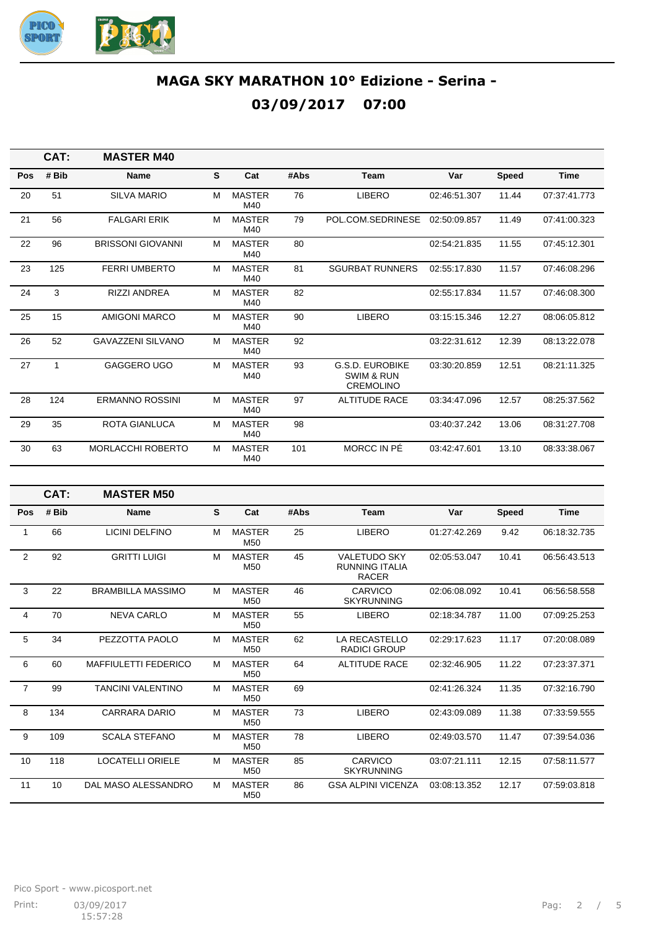

|     | CAT:  | <b>MASTER M40</b>        |   |                      |      |                                                                     |              |              |              |
|-----|-------|--------------------------|---|----------------------|------|---------------------------------------------------------------------|--------------|--------------|--------------|
| Pos | # Bib | <b>Name</b>              | S | Cat                  | #Abs | <b>Team</b>                                                         | Var          | <b>Speed</b> | <b>Time</b>  |
| 20  | 51    | <b>SILVA MARIO</b>       | M | <b>MASTER</b><br>M40 | 76   | <b>LIBERO</b>                                                       | 02:46:51.307 | 11.44        | 07:37:41.773 |
| 21  | 56    | <b>FALGARI ERIK</b>      | M | <b>MASTER</b><br>M40 | 79   | POL.COM.SEDRINESE                                                   | 02:50:09.857 | 11.49        | 07:41:00.323 |
| 22  | 96    | <b>BRISSONI GIOVANNI</b> | м | <b>MASTER</b><br>M40 | 80   |                                                                     | 02:54:21.835 | 11.55        | 07:45:12.301 |
| 23  | 125   | <b>FERRI UMBERTO</b>     | M | <b>MASTER</b><br>M40 | 81   | <b>SGURBAT RUNNERS</b>                                              | 02:55:17.830 | 11.57        | 07:46:08.296 |
| 24  | 3     | <b>RIZZI ANDREA</b>      | м | <b>MASTER</b><br>M40 | 82   |                                                                     | 02:55:17.834 | 11.57        | 07:46:08.300 |
| 25  | 15    | <b>AMIGONI MARCO</b>     | M | <b>MASTER</b><br>M40 | 90   | <b>LIBERO</b>                                                       | 03:15:15.346 | 12.27        | 08:06:05.812 |
| 26  | 52    | <b>GAVAZZENI SILVANO</b> | м | <b>MASTER</b><br>M40 | 92   |                                                                     | 03:22:31.612 | 12.39        | 08:13:22.078 |
| 27  | 1     | <b>GAGGERO UGO</b>       | м | <b>MASTER</b><br>M40 | 93   | <b>G.S.D. EUROBIKE</b><br><b>SWIM &amp; RUN</b><br><b>CREMOLINO</b> | 03:30:20.859 | 12.51        | 08:21:11.325 |
| 28  | 124   | <b>ERMANNO ROSSINI</b>   | м | <b>MASTER</b><br>M40 | 97   | <b>ALTITUDE RACE</b>                                                | 03:34:47.096 | 12.57        | 08:25:37.562 |
| 29  | 35    | <b>ROTA GIANLUCA</b>     | M | <b>MASTER</b><br>M40 | 98   |                                                                     | 03:40:37.242 | 13.06        | 08:31:27.708 |
| 30  | 63    | <b>MORLACCHI ROBERTO</b> | M | <b>MASTER</b><br>M40 | 101  | MORCC IN PÉ                                                         | 03:42:47.601 | 13.10        | 08:33:38.067 |

|                | CAT:  | <b>MASTER M50</b>           |   |                                  |      |                                                              |              |              |              |
|----------------|-------|-----------------------------|---|----------------------------------|------|--------------------------------------------------------------|--------------|--------------|--------------|
| Pos            | # Bib | <b>Name</b>                 | S | Cat                              | #Abs | Team                                                         | Var          | <b>Speed</b> | <b>Time</b>  |
| 1              | 66    | <b>LICINI DELFINO</b>       | M | <b>MASTER</b><br>M <sub>50</sub> | 25   | <b>LIBERO</b>                                                | 01:27:42.269 | 9.42         | 06:18:32.735 |
| $\overline{2}$ | 92    | <b>GRITTI LUIGI</b>         | M | <b>MASTER</b><br>M <sub>50</sub> | 45   | <b>VALETUDO SKY</b><br><b>RUNNING ITALIA</b><br><b>RACER</b> | 02:05:53.047 | 10.41        | 06:56:43.513 |
| 3              | 22    | <b>BRAMBILLA MASSIMO</b>    | M | <b>MASTER</b><br>M <sub>50</sub> | 46   | CARVICO<br><b>SKYRUNNING</b>                                 | 02:06:08.092 | 10.41        | 06:56:58.558 |
| 4              | 70    | <b>NEVA CARLO</b>           | M | <b>MASTER</b><br>M <sub>50</sub> | 55   | <b>LIBERO</b>                                                | 02:18:34.787 | 11.00        | 07:09:25.253 |
| 5              | 34    | PEZZOTTA PAOLO              | M | <b>MASTER</b><br>M <sub>50</sub> | 62   | LA RECASTELLO<br><b>RADICI GROUP</b>                         | 02:29:17.623 | 11.17        | 07:20:08.089 |
| 6              | 60    | <b>MAFFIULETTI FEDERICO</b> | M | <b>MASTER</b><br>M <sub>50</sub> | 64   | <b>ALTITUDE RACE</b>                                         | 02:32:46.905 | 11.22        | 07:23:37.371 |
| $\overline{7}$ | 99    | <b>TANCINI VALENTINO</b>    | M | <b>MASTER</b><br>M50             | 69   |                                                              | 02:41:26.324 | 11.35        | 07:32:16.790 |
| 8              | 134   | <b>CARRARA DARIO</b>        | м | <b>MASTER</b><br>M <sub>50</sub> | 73   | <b>LIBERO</b>                                                | 02:43:09.089 | 11.38        | 07:33:59.555 |
| 9              | 109   | <b>SCALA STEFANO</b>        | м | <b>MASTER</b><br>M <sub>50</sub> | 78   | <b>LIBERO</b>                                                | 02:49:03.570 | 11.47        | 07:39:54.036 |
| 10             | 118   | <b>LOCATELLI ORIELE</b>     | M | <b>MASTER</b><br>M <sub>50</sub> | 85   | CARVICO<br><b>SKYRUNNING</b>                                 | 03:07:21.111 | 12.15        | 07:58:11.577 |
| 11             | 10    | DAL MASO ALESSANDRO         | м | <b>MASTER</b><br>M <sub>50</sub> | 86   | <b>GSA ALPINI VICENZA</b>                                    | 03:08:13.352 | 12.17        | 07:59:03.818 |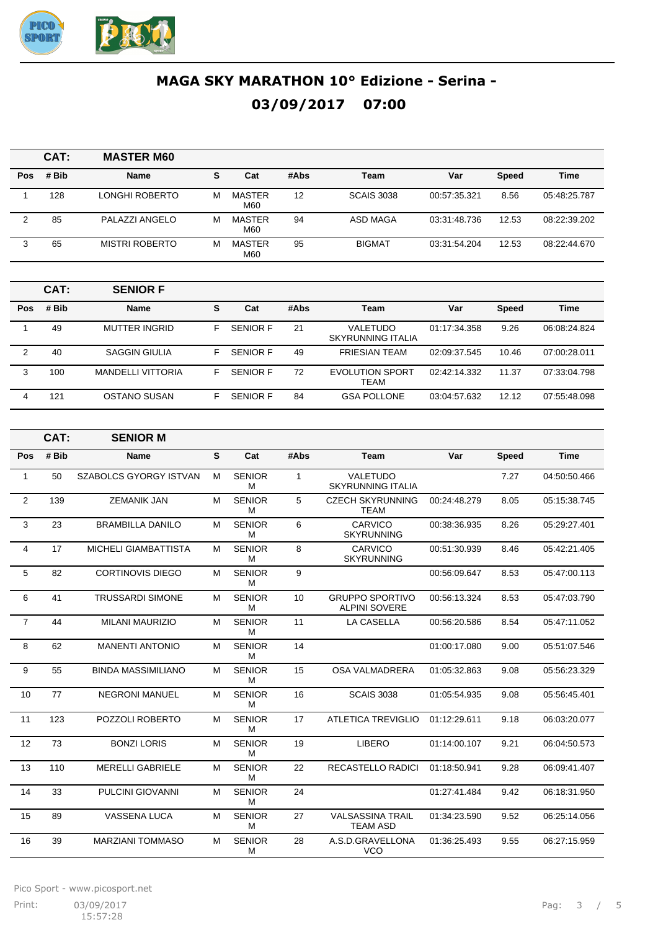

|     | CAT:  | <b>MASTER M60</b>     |   |                      |      |                   |              |              |              |
|-----|-------|-----------------------|---|----------------------|------|-------------------|--------------|--------------|--------------|
| Pos | # Bib | <b>Name</b>           | S | Cat                  | #Abs | Team              | Var          | <b>Speed</b> | <b>Time</b>  |
|     | 128   | LONGHI ROBERTO        | м | <b>MASTER</b><br>M60 | 12   | <b>SCAIS 3038</b> | 00:57:35.321 | 8.56         | 05:48:25.787 |
| 2   | 85    | PALAZZI ANGELO        | м | MASTER<br>M60        | 94   | ASD MAGA          | 03:31:48.736 | 12.53        | 08:22:39.202 |
| 3   | 65    | <b>MISTRI ROBERTO</b> | м | <b>MASTER</b><br>M60 | 95   | <b>BIGMAT</b>     | 03:31:54.204 | 12.53        | 08:22:44.670 |

|     | CAT:  | <b>SENIOR F</b>          |    |                 |      |                                |              |              |              |
|-----|-------|--------------------------|----|-----------------|------|--------------------------------|--------------|--------------|--------------|
| Pos | # Bib | <b>Name</b>              | s  | Cat             | #Abs | Team                           | Var          | <b>Speed</b> | <b>Time</b>  |
|     | 49    | MUTTER INGRID            | F  | <b>SENIOR F</b> | 21   | VALETUDO<br>SKYRUNNING ITALIA  | 01:17:34.358 | 9.26         | 06:08:24.824 |
| 2   | 40    | <b>SAGGIN GIULIA</b>     | F. | <b>SENIOR F</b> | 49   | <b>FRIESIAN TEAM</b>           | 02:09:37.545 | 10.46        | 07:00:28.011 |
| 3   | 100   | <b>MANDELLI VITTORIA</b> | F  | <b>SENIOR F</b> | 72   | <b>EVOLUTION SPORT</b><br>TEAM | 02:42:14.332 | 11.37        | 07:33:04.798 |
| 4   | 121   | OSTANO SUSAN             | F  | <b>SENIOR F</b> | 84   | <b>GSA POLLONE</b>             | 03:04:57.632 | 12.12        | 07:55:48.098 |

|                | CAT:  | <b>SENIOR M</b>               |   |                    |              |                                                |              |              |              |
|----------------|-------|-------------------------------|---|--------------------|--------------|------------------------------------------------|--------------|--------------|--------------|
| Pos            | # Bib | <b>Name</b>                   | S | Cat                | #Abs         | <b>Team</b>                                    | Var          | <b>Speed</b> | <b>Time</b>  |
| 1              | 50    | <b>SZABOLCS GYORGY ISTVAN</b> | M | <b>SENIOR</b><br>M | $\mathbf{1}$ | VALETUDO<br><b>SKYRUNNING ITALIA</b>           |              | 7.27         | 04:50:50.466 |
| $\overline{2}$ | 139   | <b>ZEMANIK JAN</b>            | M | <b>SENIOR</b><br>M | 5            | <b>CZECH SKYRUNNING</b><br><b>TEAM</b>         | 00:24:48.279 | 8.05         | 05:15:38.745 |
| 3              | 23    | <b>BRAMBILLA DANILO</b>       | M | <b>SENIOR</b><br>м | 6            | <b>CARVICO</b><br><b>SKYRUNNING</b>            | 00:38:36.935 | 8.26         | 05:29:27.401 |
| 4              | 17    | <b>MICHELI GIAMBATTISTA</b>   | M | <b>SENIOR</b><br>M | 8            | CARVICO<br><b>SKYRUNNING</b>                   | 00:51:30.939 | 8.46         | 05:42:21.405 |
| 5              | 82    | <b>CORTINOVIS DIEGO</b>       | M | <b>SENIOR</b><br>M | 9            |                                                | 00:56:09.647 | 8.53         | 05:47:00.113 |
| 6              | 41    | <b>TRUSSARDI SIMONE</b>       | M | <b>SENIOR</b><br>M | 10           | <b>GRUPPO SPORTIVO</b><br><b>ALPINI SOVERE</b> | 00:56:13.324 | 8.53         | 05:47:03.790 |
| $\overline{7}$ | 44    | <b>MILANI MAURIZIO</b>        | M | <b>SENIOR</b><br>м | 11           | <b>LA CASELLA</b>                              | 00:56:20.586 | 8.54         | 05:47:11.052 |
| 8              | 62    | <b>MANENTI ANTONIO</b>        | M | <b>SENIOR</b><br>м | 14           |                                                | 01:00:17.080 | 9.00         | 05:51:07.546 |
| 9              | 55    | <b>BINDA MASSIMILIANO</b>     | M | <b>SENIOR</b><br>М | 15           | <b>OSA VALMADRERA</b>                          | 01:05:32.863 | 9.08         | 05:56:23.329 |
| 10             | 77    | <b>NEGRONI MANUEL</b>         | M | <b>SENIOR</b><br>M | 16           | <b>SCAIS 3038</b>                              | 01:05:54.935 | 9.08         | 05:56:45.401 |
| 11             | 123   | POZZOLI ROBERTO               | M | <b>SENIOR</b><br>M | 17           | <b>ATLETICA TREVIGLIO</b>                      | 01:12:29.611 | 9.18         | 06:03:20.077 |
| 12             | 73    | <b>BONZI LORIS</b>            | M | <b>SENIOR</b><br>м | 19           | <b>LIBERO</b>                                  | 01:14:00.107 | 9.21         | 06:04:50.573 |
| 13             | 110   | <b>MERELLI GABRIELE</b>       | M | <b>SENIOR</b><br>M | 22           | <b>RECASTELLO RADICI</b>                       | 01:18:50.941 | 9.28         | 06:09:41.407 |
| 14             | 33    | <b>PULCINI GIOVANNI</b>       | M | <b>SENIOR</b><br>м | 24           |                                                | 01:27:41.484 | 9.42         | 06:18:31.950 |
| 15             | 89    | <b>VASSENA LUCA</b>           | M | <b>SENIOR</b><br>M | 27           | <b>VALSASSINA TRAIL</b><br><b>TEAM ASD</b>     | 01:34:23.590 | 9.52         | 06:25:14.056 |
| 16             | 39    | <b>MARZIANI TOMMASO</b>       | M | <b>SENIOR</b><br>M | 28           | A.S.D.GRAVELLONA<br><b>VCO</b>                 | 01:36:25.493 | 9.55         | 06:27:15.959 |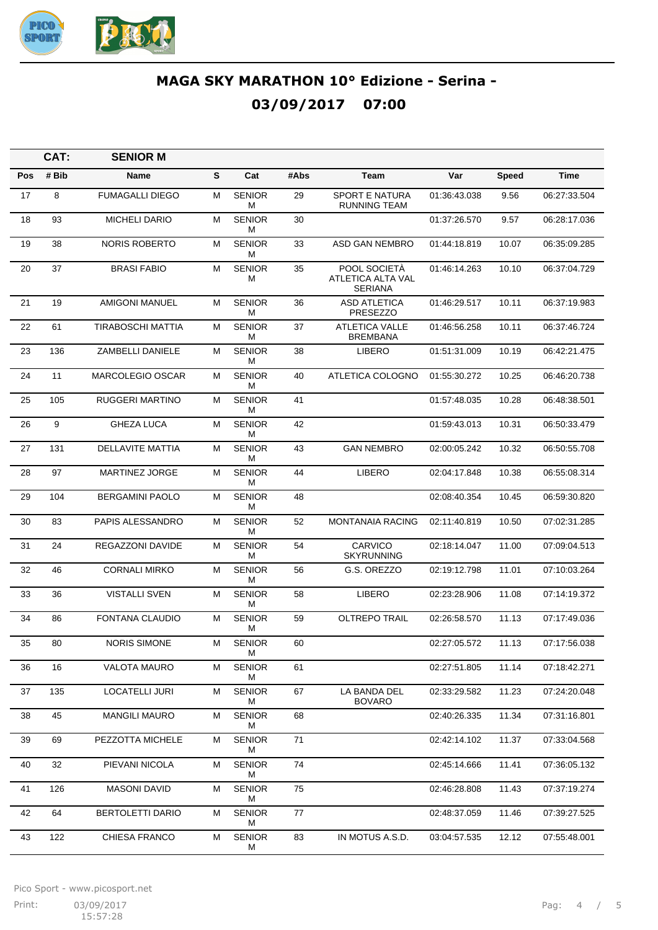

|     | CAT:  | <b>SENIOR M</b>          |   |                    |      |                                                     |              |              |              |
|-----|-------|--------------------------|---|--------------------|------|-----------------------------------------------------|--------------|--------------|--------------|
| Pos | # Bib | Name                     | s | Cat                | #Abs | Team                                                | Var          | <b>Speed</b> | Time         |
| 17  | 8     | <b>FUMAGALLI DIEGO</b>   | М | <b>SENIOR</b><br>М | 29   | <b>SPORT E NATURA</b><br><b>RUNNING TEAM</b>        | 01:36:43.038 | 9.56         | 06:27:33.504 |
| 18  | 93    | <b>MICHELI DARIO</b>     | М | <b>SENIOR</b><br>м | 30   |                                                     | 01:37:26.570 | 9.57         | 06:28:17.036 |
| 19  | 38    | <b>NORIS ROBERTO</b>     | М | <b>SENIOR</b><br>м | 33   | ASD GAN NEMBRO                                      | 01:44:18.819 | 10.07        | 06:35:09.285 |
| 20  | 37    | <b>BRASI FABIO</b>       | м | <b>SENIOR</b><br>М | 35   | POOL SOCIETÀ<br>ATLETICA ALTA VAL<br><b>SERIANA</b> | 01:46:14.263 | 10.10        | 06:37:04.729 |
| 21  | 19    | <b>AMIGONI MANUEL</b>    | М | <b>SENIOR</b><br>М | 36   | <b>ASD ATLETICA</b><br><b>PRESEZZO</b>              | 01:46:29.517 | 10.11        | 06:37:19.983 |
| 22  | 61    | <b>TIRABOSCHI MATTIA</b> | м | <b>SENIOR</b><br>М | 37   | <b>ATLETICA VALLE</b><br><b>BREMBANA</b>            | 01:46:56.258 | 10.11        | 06:37:46.724 |
| 23  | 136   | ZAMBELLI DANIELE         | м | <b>SENIOR</b><br>М | 38   | LIBERO                                              | 01:51:31.009 | 10.19        | 06:42:21.475 |
| 24  | 11    | <b>MARCOLEGIO OSCAR</b>  | М | <b>SENIOR</b><br>м | 40   | ATLETICA COLOGNO                                    | 01:55:30.272 | 10.25        | 06:46:20.738 |
| 25  | 105   | <b>RUGGERI MARTINO</b>   | м | <b>SENIOR</b><br>М | 41   |                                                     | 01:57:48.035 | 10.28        | 06:48:38.501 |
| 26  | 9     | <b>GHEZA LUCA</b>        | м | <b>SENIOR</b><br>М | 42   |                                                     | 01:59:43.013 | 10.31        | 06:50:33.479 |
| 27  | 131   | <b>DELLAVITE MATTIA</b>  | М | <b>SENIOR</b><br>М | 43   | <b>GAN NEMBRO</b>                                   | 02:00:05.242 | 10.32        | 06:50:55.708 |
| 28  | 97    | <b>MARTINEZ JORGE</b>    | м | <b>SENIOR</b><br>М | 44   | <b>LIBERO</b>                                       | 02:04:17.848 | 10.38        | 06:55:08.314 |
| 29  | 104   | <b>BERGAMINI PAOLO</b>   | м | <b>SENIOR</b><br>М | 48   |                                                     | 02:08:40.354 | 10.45        | 06:59:30.820 |
| 30  | 83    | PAPIS ALESSANDRO         | М | <b>SENIOR</b><br>м | 52   | <b>MONTANAIA RACING</b>                             | 02:11:40.819 | 10.50        | 07:02:31.285 |
| 31  | 24    | REGAZZONI DAVIDE         | м | <b>SENIOR</b><br>М | 54   | <b>CARVICO</b><br><b>SKYRUNNING</b>                 | 02:18:14.047 | 11.00        | 07:09:04.513 |
| 32  | 46    | <b>CORNALI MIRKO</b>     | м | <b>SENIOR</b><br>М | 56   | G.S. OREZZO                                         | 02:19:12.798 | 11.01        | 07:10:03.264 |
| 33  | 36    | <b>VISTALLI SVEN</b>     | М | <b>SENIOR</b><br>М | 58   | <b>LIBERO</b>                                       | 02:23:28.906 | 11.08        | 07:14:19.372 |
| 34  | 86    | FONTANA CLAUDIO          | м | <b>SENIOR</b><br>М | 59   | <b>OLTREPO TRAIL</b>                                | 02:26:58.570 | 11.13        | 07:17:49.036 |
| 35  | 80    | <b>NORIS SIMONE</b>      | м | <b>SENIOR</b><br>М | 60   |                                                     | 02:27:05.572 | 11.13        | 07:17:56.038 |
| 36  | 16    | VALOTA MAURO             | М | <b>SENIOR</b><br>М | 61   |                                                     | 02:27:51.805 | 11.14        | 07:18:42.271 |
| 37  | 135   | LOCATELLI JURI           | м | <b>SENIOR</b><br>М | 67   | LA BANDA DEL<br><b>BOVARO</b>                       | 02:33:29.582 | 11.23        | 07:24:20.048 |
| 38  | 45    | <b>MANGILI MAURO</b>     | м | <b>SENIOR</b><br>М | 68   |                                                     | 02:40:26.335 | 11.34        | 07:31:16.801 |
| 39  | 69    | PEZZOTTA MICHELE         | м | <b>SENIOR</b><br>М | 71   |                                                     | 02:42:14.102 | 11.37        | 07:33:04.568 |
| 40  | 32    | PIEVANI NICOLA           | м | <b>SENIOR</b><br>М | 74   |                                                     | 02:45:14.666 | 11.41        | 07:36:05.132 |
| 41  | 126   | <b>MASONI DAVID</b>      | м | <b>SENIOR</b><br>м | 75   |                                                     | 02:46:28.808 | 11.43        | 07:37:19.274 |
| 42  | 64    | BERTOLETTI DARIO         | М | <b>SENIOR</b><br>М | 77   |                                                     | 02:48:37.059 | 11.46        | 07:39:27.525 |
| 43  | 122   | CHIESA FRANCO            | м | <b>SENIOR</b><br>М | 83   | IN MOTUS A.S.D.                                     | 03:04:57.535 | 12.12        | 07:55:48.001 |